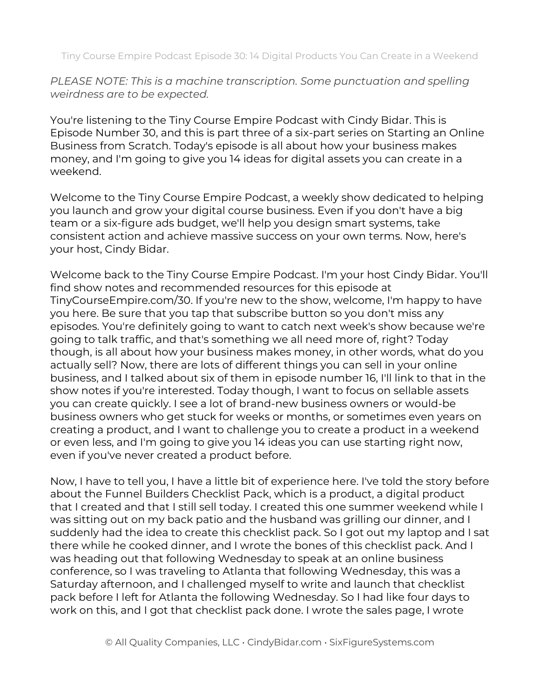Tiny Course Empire Podcast Episode 30: 14 Digital Products You Can Create in a Weekend

*PLEASE NOTE: This is a machine transcription. Some punctuation and spelling weirdness are to be expected.*

You're listening to the Tiny Course Empire Podcast with Cindy Bidar. This is Episode Number 30, and this is part three of a six-part series on Starting an Online Business from Scratch. Today's episode is all about how your business makes money, and I'm going to give you 14 ideas for digital assets you can create in a weekend.

Welcome to the Tiny Course Empire Podcast, a weekly show dedicated to helping you launch and grow your digital course business. Even if you don't have a big team or a six-figure ads budget, we'll help you design smart systems, take consistent action and achieve massive success on your own terms. Now, here's your host, Cindy Bidar.

Welcome back to the Tiny Course Empire Podcast. I'm your host Cindy Bidar. You'll find show notes and recommended resources for this episode at TinyCourseEmpire.com/30. If you're new to the show, welcome, I'm happy to have you here. Be sure that you tap that subscribe button so you don't miss any episodes. You're definitely going to want to catch next week's show because we're going to talk traffic, and that's something we all need more of, right? Today though, is all about how your business makes money, in other words, what do you actually sell? Now, there are lots of different things you can sell in your online business, and I talked about six of them in episode number 16, I'll link to that in the show notes if you're interested. Today though, I want to focus on sellable assets you can create quickly. I see a lot of brand-new business owners or would-be business owners who get stuck for weeks or months, or sometimes even years on creating a product, and I want to challenge you to create a product in a weekend or even less, and I'm going to give you 14 ideas you can use starting right now, even if you've never created a product before.

Now, I have to tell you, I have a little bit of experience here. I've told the story before about the Funnel Builders Checklist Pack, which is a product, a digital product that I created and that I still sell today. I created this one summer weekend while I was sitting out on my back patio and the husband was grilling our dinner, and I suddenly had the idea to create this checklist pack. So I got out my laptop and I sat there while he cooked dinner, and I wrote the bones of this checklist pack. And I was heading out that following Wednesday to speak at an online business conference, so I was traveling to Atlanta that following Wednesday, this was a Saturday afternoon, and I challenged myself to write and launch that checklist pack before I left for Atlanta the following Wednesday. So I had like four days to work on this, and I got that checklist pack done. I wrote the sales page, I wrote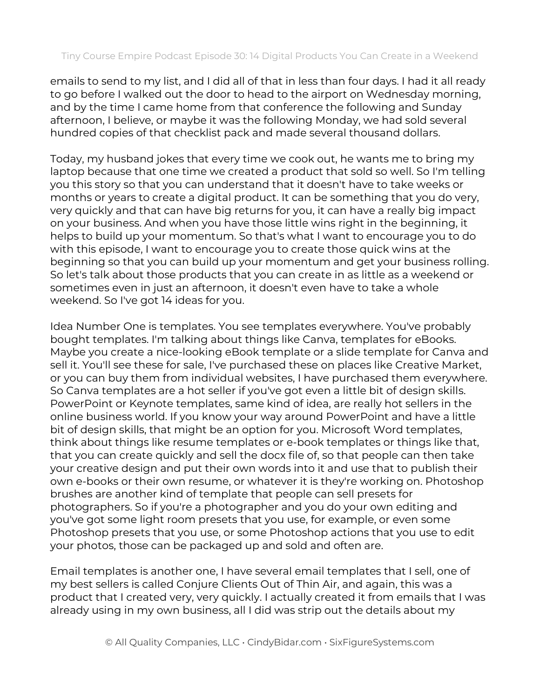emails to send to my list, and I did all of that in less than four days. I had it all ready to go before I walked out the door to head to the airport on Wednesday morning, and by the time I came home from that conference the following and Sunday afternoon, I believe, or maybe it was the following Monday, we had sold several hundred copies of that checklist pack and made several thousand dollars.

Today, my husband jokes that every time we cook out, he wants me to bring my laptop because that one time we created a product that sold so well. So I'm telling you this story so that you can understand that it doesn't have to take weeks or months or years to create a digital product. It can be something that you do very, very quickly and that can have big returns for you, it can have a really big impact on your business. And when you have those little wins right in the beginning, it helps to build up your momentum. So that's what I want to encourage you to do with this episode, I want to encourage you to create those quick wins at the beginning so that you can build up your momentum and get your business rolling. So let's talk about those products that you can create in as little as a weekend or sometimes even in just an afternoon, it doesn't even have to take a whole weekend. So I've got 14 ideas for you.

Idea Number One is templates. You see templates everywhere. You've probably bought templates. I'm talking about things like Canva, templates for eBooks. Maybe you create a nice-looking eBook template or a slide template for Canva and sell it. You'll see these for sale, I've purchased these on places like Creative Market, or you can buy them from individual websites, I have purchased them everywhere. So Canva templates are a hot seller if you've got even a little bit of design skills. PowerPoint or Keynote templates, same kind of idea, are really hot sellers in the online business world. If you know your way around PowerPoint and have a little bit of design skills, that might be an option for you. Microsoft Word templates, think about things like resume templates or e-book templates or things like that, that you can create quickly and sell the docx file of, so that people can then take your creative design and put their own words into it and use that to publish their own e-books or their own resume, or whatever it is they're working on. Photoshop brushes are another kind of template that people can sell presets for photographers. So if you're a photographer and you do your own editing and you've got some light room presets that you use, for example, or even some Photoshop presets that you use, or some Photoshop actions that you use to edit your photos, those can be packaged up and sold and often are.

Email templates is another one, I have several email templates that I sell, one of my best sellers is called Conjure Clients Out of Thin Air, and again, this was a product that I created very, very quickly. I actually created it from emails that I was already using in my own business, all I did was strip out the details about my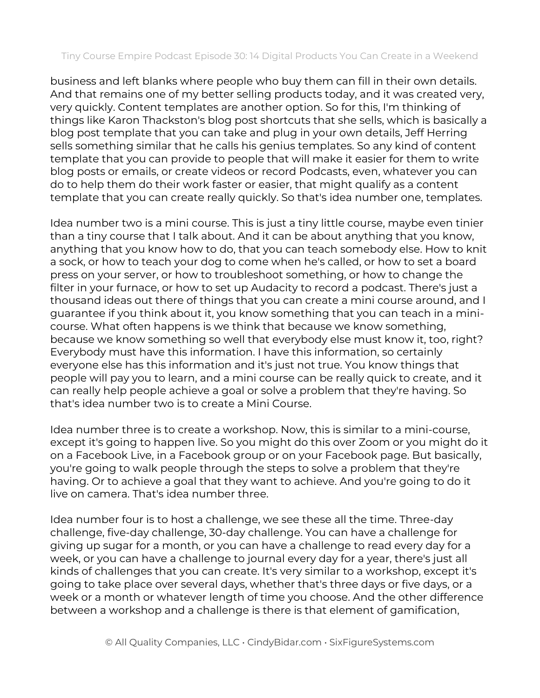business and left blanks where people who buy them can fill in their own details. And that remains one of my better selling products today, and it was created very, very quickly. Content templates are another option. So for this, I'm thinking of things like Karon Thackston's blog post shortcuts that she sells, which is basically a blog post template that you can take and plug in your own details, Jeff Herring sells something similar that he calls his genius templates. So any kind of content template that you can provide to people that will make it easier for them to write blog posts or emails, or create videos or record Podcasts, even, whatever you can do to help them do their work faster or easier, that might qualify as a content template that you can create really quickly. So that's idea number one, templates.

Idea number two is a mini course. This is just a tiny little course, maybe even tinier than a tiny course that I talk about. And it can be about anything that you know, anything that you know how to do, that you can teach somebody else. How to knit a sock, or how to teach your dog to come when he's called, or how to set a board press on your server, or how to troubleshoot something, or how to change the filter in your furnace, or how to set up Audacity to record a podcast. There's just a thousand ideas out there of things that you can create a mini course around, and I guarantee if you think about it, you know something that you can teach in a minicourse. What often happens is we think that because we know something, because we know something so well that everybody else must know it, too, right? Everybody must have this information. I have this information, so certainly everyone else has this information and it's just not true. You know things that people will pay you to learn, and a mini course can be really quick to create, and it can really help people achieve a goal or solve a problem that they're having. So that's idea number two is to create a Mini Course.

Idea number three is to create a workshop. Now, this is similar to a mini-course, except it's going to happen live. So you might do this over Zoom or you might do it on a Facebook Live, in a Facebook group or on your Facebook page. But basically, you're going to walk people through the steps to solve a problem that they're having. Or to achieve a goal that they want to achieve. And you're going to do it live on camera. That's idea number three.

Idea number four is to host a challenge, we see these all the time. Three-day challenge, five-day challenge, 30-day challenge. You can have a challenge for giving up sugar for a month, or you can have a challenge to read every day for a week, or you can have a challenge to journal every day for a year, there's just all kinds of challenges that you can create. It's very similar to a workshop, except it's going to take place over several days, whether that's three days or five days, or a week or a month or whatever length of time you choose. And the other difference between a workshop and a challenge is there is that element of gamification,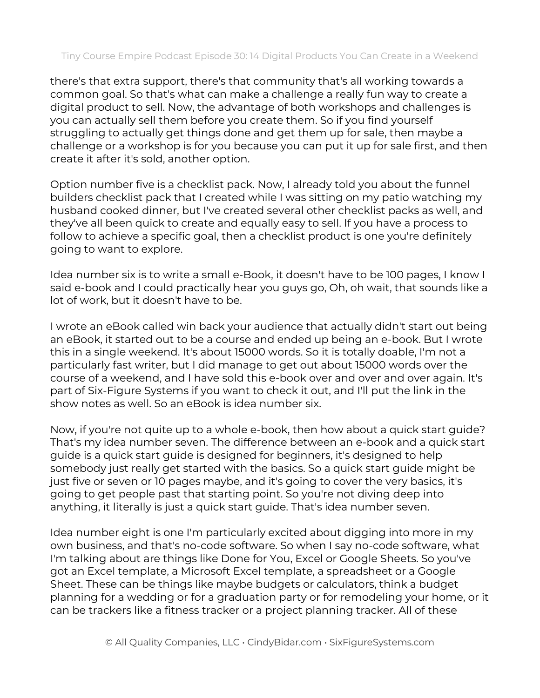there's that extra support, there's that community that's all working towards a common goal. So that's what can make a challenge a really fun way to create a digital product to sell. Now, the advantage of both workshops and challenges is you can actually sell them before you create them. So if you find yourself struggling to actually get things done and get them up for sale, then maybe a challenge or a workshop is for you because you can put it up for sale first, and then create it after it's sold, another option.

Option number five is a checklist pack. Now, I already told you about the funnel builders checklist pack that I created while I was sitting on my patio watching my husband cooked dinner, but I've created several other checklist packs as well, and they've all been quick to create and equally easy to sell. If you have a process to follow to achieve a specific goal, then a checklist product is one you're definitely going to want to explore.

Idea number six is to write a small e-Book, it doesn't have to be 100 pages, I know I said e-book and I could practically hear you guys go, Oh, oh wait, that sounds like a lot of work, but it doesn't have to be.

I wrote an eBook called win back your audience that actually didn't start out being an eBook, it started out to be a course and ended up being an e-book. But I wrote this in a single weekend. It's about 15000 words. So it is totally doable, I'm not a particularly fast writer, but I did manage to get out about 15000 words over the course of a weekend, and I have sold this e-book over and over and over again. It's part of Six-Figure Systems if you want to check it out, and I'll put the link in the show notes as well. So an eBook is idea number six.

Now, if you're not quite up to a whole e-book, then how about a quick start guide? That's my idea number seven. The difference between an e-book and a quick start guide is a quick start guide is designed for beginners, it's designed to help somebody just really get started with the basics. So a quick start guide might be just five or seven or 10 pages maybe, and it's going to cover the very basics, it's going to get people past that starting point. So you're not diving deep into anything, it literally is just a quick start guide. That's idea number seven.

Idea number eight is one I'm particularly excited about digging into more in my own business, and that's no-code software. So when I say no-code software, what I'm talking about are things like Done for You, Excel or Google Sheets. So you've got an Excel template, a Microsoft Excel template, a spreadsheet or a Google Sheet. These can be things like maybe budgets or calculators, think a budget planning for a wedding or for a graduation party or for remodeling your home, or it can be trackers like a fitness tracker or a project planning tracker. All of these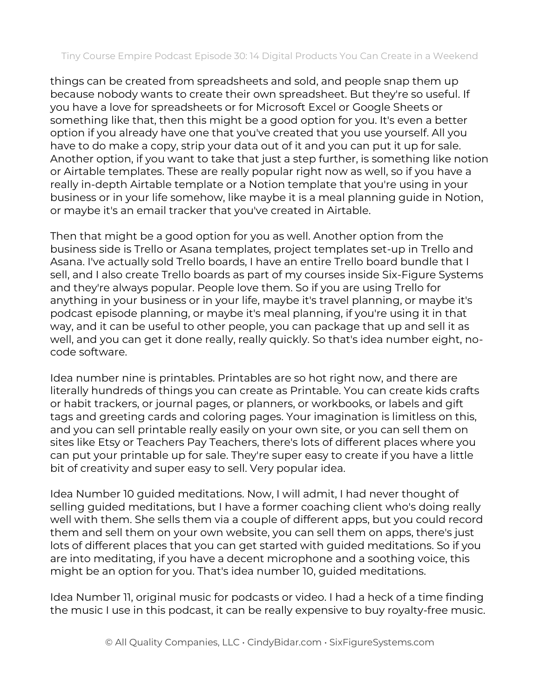things can be created from spreadsheets and sold, and people snap them up because nobody wants to create their own spreadsheet. But they're so useful. If you have a love for spreadsheets or for Microsoft Excel or Google Sheets or something like that, then this might be a good option for you. It's even a better option if you already have one that you've created that you use yourself. All you have to do make a copy, strip your data out of it and you can put it up for sale. Another option, if you want to take that just a step further, is something like notion or Airtable templates. These are really popular right now as well, so if you have a really in-depth Airtable template or a Notion template that you're using in your business or in your life somehow, like maybe it is a meal planning guide in Notion, or maybe it's an email tracker that you've created in Airtable.

Then that might be a good option for you as well. Another option from the business side is Trello or Asana templates, project templates set-up in Trello and Asana. I've actually sold Trello boards, I have an entire Trello board bundle that I sell, and I also create Trello boards as part of my courses inside Six-Figure Systems and they're always popular. People love them. So if you are using Trello for anything in your business or in your life, maybe it's travel planning, or maybe it's podcast episode planning, or maybe it's meal planning, if you're using it in that way, and it can be useful to other people, you can package that up and sell it as well, and you can get it done really, really quickly. So that's idea number eight, nocode software.

Idea number nine is printables. Printables are so hot right now, and there are literally hundreds of things you can create as Printable. You can create kids crafts or habit trackers, or journal pages, or planners, or workbooks, or labels and gift tags and greeting cards and coloring pages. Your imagination is limitless on this, and you can sell printable really easily on your own site, or you can sell them on sites like Etsy or Teachers Pay Teachers, there's lots of different places where you can put your printable up for sale. They're super easy to create if you have a little bit of creativity and super easy to sell. Very popular idea.

Idea Number 10 guided meditations. Now, I will admit, I had never thought of selling guided meditations, but I have a former coaching client who's doing really well with them. She sells them via a couple of different apps, but you could record them and sell them on your own website, you can sell them on apps, there's just lots of different places that you can get started with guided meditations. So if you are into meditating, if you have a decent microphone and a soothing voice, this might be an option for you. That's idea number 10, guided meditations.

Idea Number 11, original music for podcasts or video. I had a heck of a time finding the music I use in this podcast, it can be really expensive to buy royalty-free music.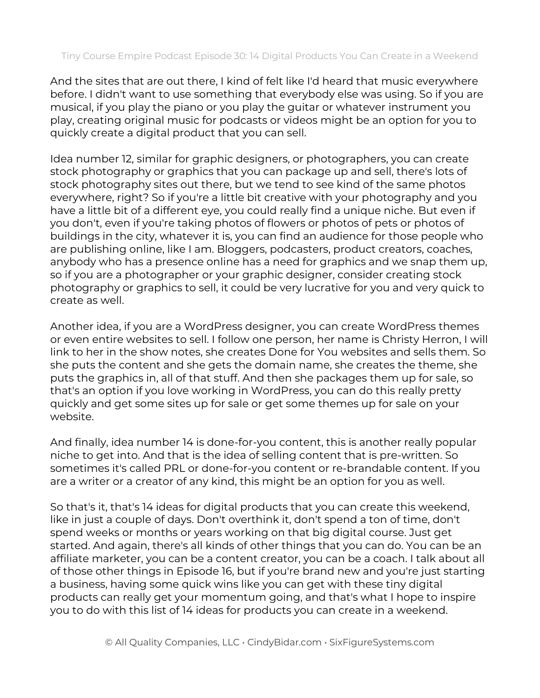And the sites that are out there, I kind of felt like I'd heard that music everywhere before. I didn't want to use something that everybody else was using. So if you are musical, if you play the piano or you play the guitar or whatever instrument you play, creating original music for podcasts or videos might be an option for you to quickly create a digital product that you can sell.

Idea number 12, similar for graphic designers, or photographers, you can create stock photography or graphics that you can package up and sell, there's lots of stock photography sites out there, but we tend to see kind of the same photos everywhere, right? So if you're a little bit creative with your photography and you have a little bit of a different eye, you could really find a unique niche. But even if you don't, even if you're taking photos of flowers or photos of pets or photos of buildings in the city, whatever it is, you can find an audience for those people who are publishing online, like I am. Bloggers, podcasters, product creators, coaches, anybody who has a presence online has a need for graphics and we snap them up, so if you are a photographer or your graphic designer, consider creating stock photography or graphics to sell, it could be very lucrative for you and very quick to create as well.

Another idea, if you are a WordPress designer, you can create WordPress themes or even entire websites to sell. I follow one person, her name is Christy Herron, I will link to her in the show notes, she creates Done for You websites and sells them. So she puts the content and she gets the domain name, she creates the theme, she puts the graphics in, all of that stuff. And then she packages them up for sale, so that's an option if you love working in WordPress, you can do this really pretty quickly and get some sites up for sale or get some themes up for sale on your website.

And finally, idea number 14 is done-for-you content, this is another really popular niche to get into. And that is the idea of selling content that is pre-written. So sometimes it's called PRL or done-for-you content or re-brandable content. If you are a writer or a creator of any kind, this might be an option for you as well.

So that's it, that's 14 ideas for digital products that you can create this weekend, like in just a couple of days. Don't overthink it, don't spend a ton of time, don't spend weeks or months or years working on that big digital course. Just get started. And again, there's all kinds of other things that you can do. You can be an affiliate marketer, you can be a content creator, you can be a coach. I talk about all of those other things in Episode 16, but if you're brand new and you're just starting a business, having some quick wins like you can get with these tiny digital products can really get your momentum going, and that's what I hope to inspire you to do with this list of 14 ideas for products you can create in a weekend.